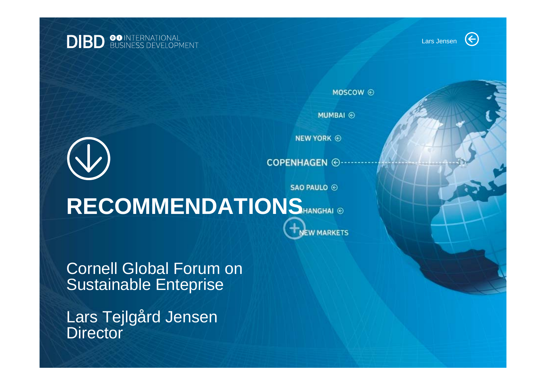MOSCOW ⓒ

**MUMBAI** ⓒ

**NEW YORK @** 

**COPENHAGEN** @

**EW MARKETS** 

**SAO PAULO ⓒ** 

# RECOMMENDATIONS HANGHAI ®

Cornell Global Forum on Sustainable Enteprise

Lars Tejlgård Jensen **Director**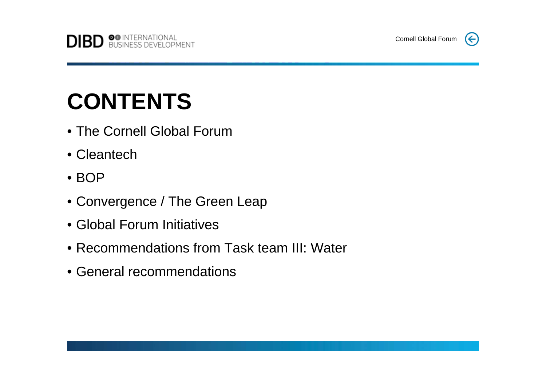

# **CONTENTS**

- The Cornell Global Forum
- Cleantech
- BOP
- Convergence / The Green Leap
- Global Forum Initiatives
- Recommendations from Task team III: Water
- General recommendations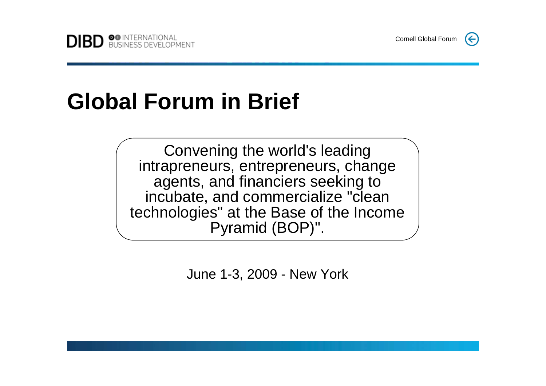# **Global Forum in Brief**

Convening the world's leading intrapreneurs, entrepreneurs, change agents, and financiers seeking to incubate, and commercialize "clean technologies" at the Base of the Income Pyramid (BOP)".

June 1-3, 2009 - New York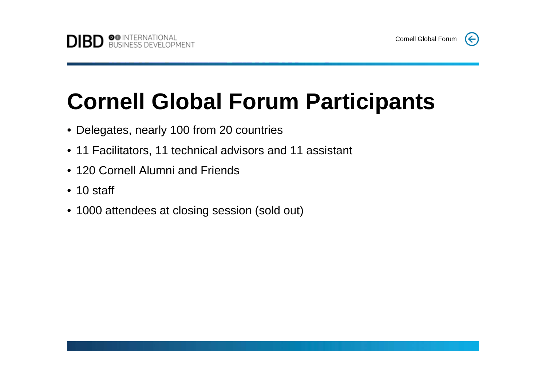# **Cornell Global Forum Participants**

- Delegates, nearly 100 from 20 countries
- 11 Facilitators, 11 technical advisors and 11 assistant
- 120 Cornell Alumni and Friends
- 10 staff
- 1000 attendees at closing session (sold out)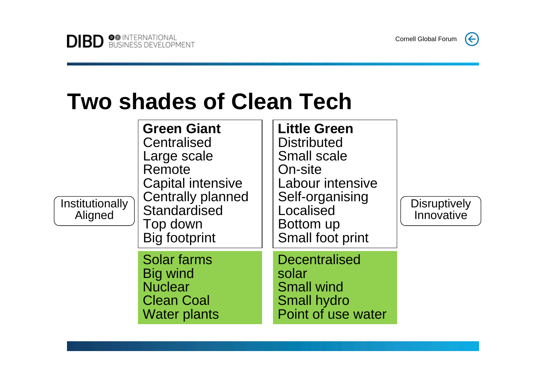Cornell Global Forum

 $(\Leftarrow)$ 

## **Two shades of Clean Tech**

| Institutionally<br>Aligned | <b>Green Giant</b><br>Centralised<br>Large scale<br>Remote<br><b>Capital intensive</b><br><b>Centrally planned</b><br>Standardised<br>Top down<br><b>Big footprint</b> | <b>Little Green</b><br><b>Distributed</b><br><b>Small scale</b><br>On-site<br>Labour intensive<br>Self-organising<br>Localised<br>Bottom up<br>Small foot print | <b>Disruptively</b><br>Innovative |
|----------------------------|------------------------------------------------------------------------------------------------------------------------------------------------------------------------|-----------------------------------------------------------------------------------------------------------------------------------------------------------------|-----------------------------------|
|                            | Solar farms<br><b>Big wind</b><br><b>Nuclear</b><br><b>Clean Coal</b><br><b>Water plants</b>                                                                           | <b>Decentralised</b><br>solar<br><b>Small wind</b><br><b>Small hydro</b><br>Point of use water                                                                  |                                   |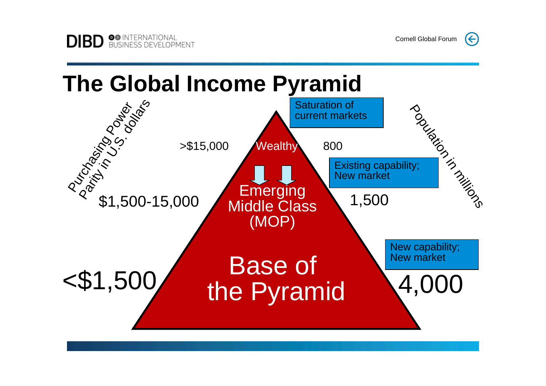$(\Leftarrow)$ 

## **The Global Income Pyramid**

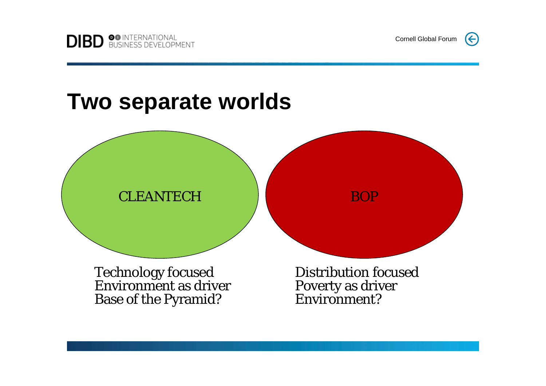Cornell Global Forum

#### **Two separate worlds**



Technology focused Environment as driver Base of the Pyramid?

Distribution focusedPoverty as driver Environment?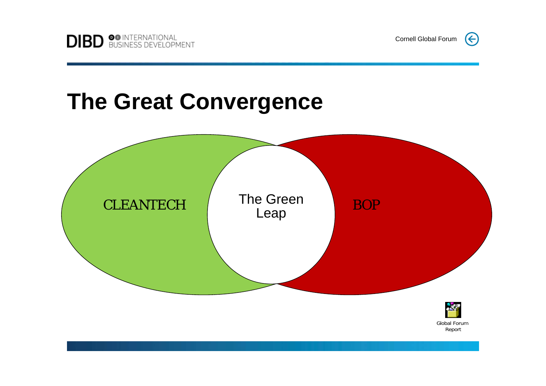### **The Great Convergence**



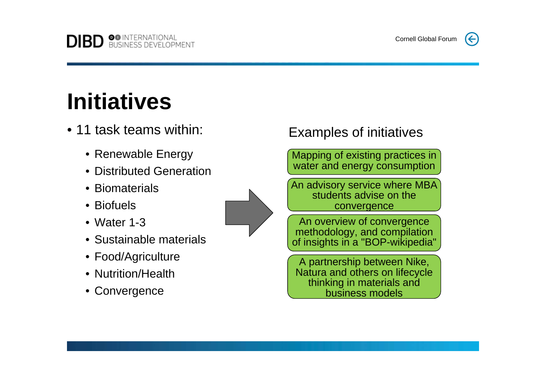# **Initiatives**

**DIBD SO INTERNATIONAL** 

- 11 task teams within:
	- Renewable Energy
	- Distributed Generation
	- Biomaterials
	- Biofuels
	- Water 1-3
	- Sustainable materials
	- Food/Agriculture
	- Nutrition/Health
	- Convergence

#### Examples of initiatives

Mapping of existing practices in water and energy consumption

An advisory service where MBA students advise on the convergence

An overview of convergence methodology, and compilation of insights in a "BOP-wikipedia"

A partnership between Nike, Natura and others on lifecycle thinking in materials and business models

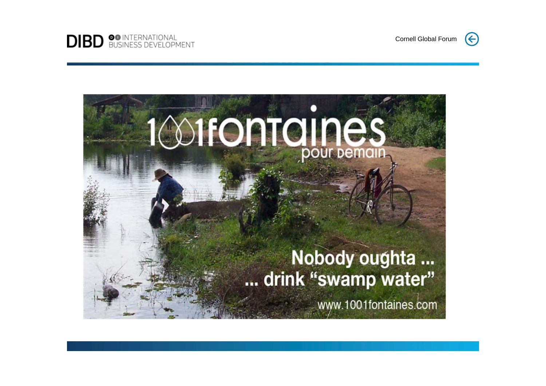



 $\left(\leftarrow$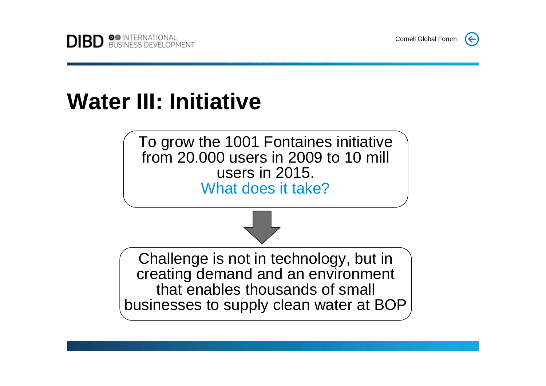## **Water III: Initiative**

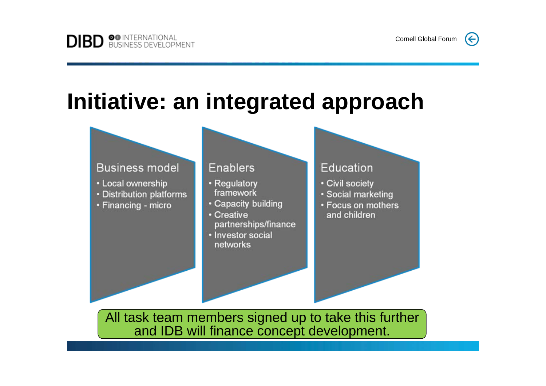# Initiative: an integrated approach

#### **Business model**

- Local ownership
- Distribution platforms
- Financing micro

#### **Enablers**

- Regulatory framework
- Capacity building
- Creative partnerships/finance
- · Investor social networks

#### **Education**

- Civil society
- · Social marketing
- Focus on mothers and children

All task team members signed up to take this further and IDB will finance concept development.